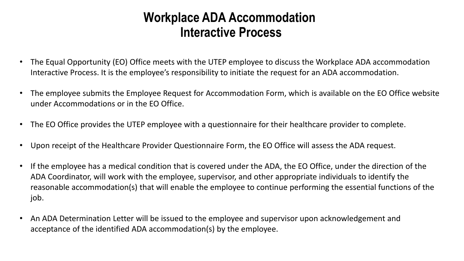## **Workplace ADA Accommodation Interactive Process**

- The Equal Opportunity (EO) Office meets with the UTEP employee to discuss the Workplace ADA accommodation Interactive Process. It is the employee's responsibility to initiate the request for an ADA accommodation.
- The employee submits the Employee Request for Accommodation Form, which is available on the EO Office website under Accommodations or in the EO Office.
- The EO Office provides the UTEP employee with a questionnaire for their healthcare provider to complete.
- Upon receipt of the Healthcare Provider Questionnaire Form, the EO Office will assess the ADA request.
- If the employee has a medical condition that is covered under the ADA, the EO Office, under the direction of the ADA Coordinator, will work with the employee, supervisor, and other appropriate individuals to identify the reasonable accommodation(s) that will enable the employee to continue performing the essential functions of the job.
- An ADA Determination Letter will be issued to the employee and supervisor upon acknowledgement and acceptance of the identified ADA accommodation(s) by the employee.